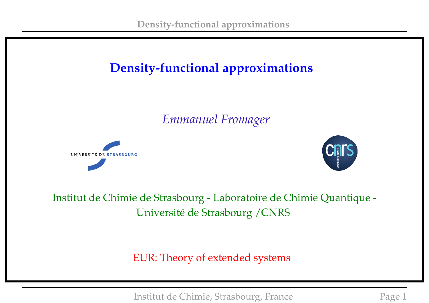# **Density-functional approximations**

*Emmanuel Fromager*





#### Institut de Chimie de Strasbourg - Laboratoire de Chimie Quantique - Université de Strasbourg /CNRS

EUR: Theory of extended systems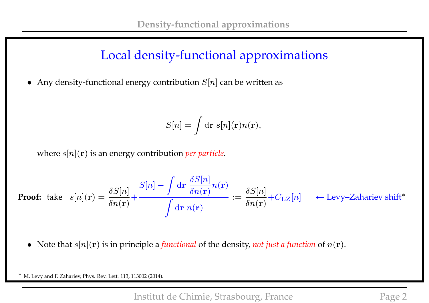## Local density-functional approximations

• Any density-functional energy contribution  $S[n]$  can be written as

$$
S[n] = \int \mathrm{d}{\bf r} \; s[n]({\bf r}) n({\bf r}),
$$

where s[n](r) is an energy contribution *per particle*.

**Proof:** take 
$$
s[n](\mathbf{r}) = \frac{\delta S[n]}{\delta n(\mathbf{r})} + \frac{S[n] - \int d\mathbf{r} \frac{\delta S[n]}{\delta n(\mathbf{r})} n(\mathbf{r})}{\int d\mathbf{r} n(\mathbf{r})} := \frac{\delta S[n]}{\delta n(\mathbf{r})} + C_{\text{LZ}}[n] \leftarrow \text{Levy–Zahariev shift*}
$$

• Note that  $s[n](\mathbf{r})$  is in principle a *functional* of the density, *not just a function* of  $n(\mathbf{r})$ .

∗ M. Levy and F. Zahariev, Phys. Rev. Lett. 113, 113002 (2014).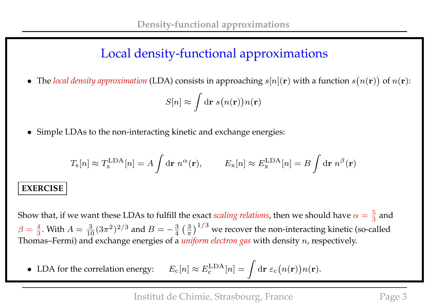## Local density-functional approximations

• The *local density approximation* (LDA) consists in approaching  $s[n]$ (**r**) with a function  $s(n(\mathbf{r}))$  of  $n(\mathbf{r})$ :

$$
S[n] \approx \int \mathrm{d} \mathbf{r} \; s\big(n(\mathbf{r})\big)n(\mathbf{r})
$$

• Simple LDAs to the non-interacting kinetic and exchange energies:

$$
T_{\rm s}[n] \approx T_{\rm s}^{\rm LDA}[n] = A \int \mathrm{d}{\bf r} \; n^{\alpha}({\bf r}), \qquad E_{\rm x}[n] \approx E_{\rm x}^{\rm LDA}[n] = B \int \mathrm{d}{\bf r} \; n^{\beta}({\bf r})
$$

#### **EXERCISE**

Show that, if we want these LDAs to fulfill the exact *scaling relations,* then we should have  $\alpha = \frac{5}{3}$  and  $\beta = \frac{4}{3}$ . With  $A = \frac{3}{10}(3\pi^2)^{2/3}$  and  $B = -\frac{3}{4}(\frac{3}{\pi^2})$  $\left(\frac{3}{\pi}\right)^{1/3}$  we recover the non-interacting kinetic (so-called Thomas–Fermi) and exchange energies of a *uniform electron gas* with density n, respectively.

• LDA for the correlation energy:  $E_c[n] \approx E_c^{\text{LDA}}$  $\epsilon_{\mathrm{c}}^{\mathrm{LDA}}[n]=\int\mathrm{d}\mathbf{r}\;\varepsilon_{\mathrm{c}}\big(n(\mathbf{r})\big)n(\mathbf{r}).$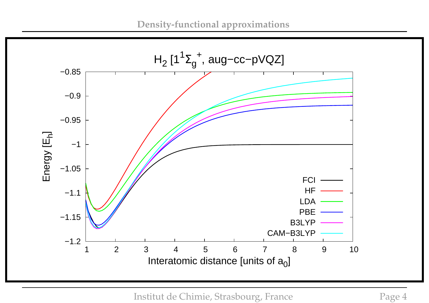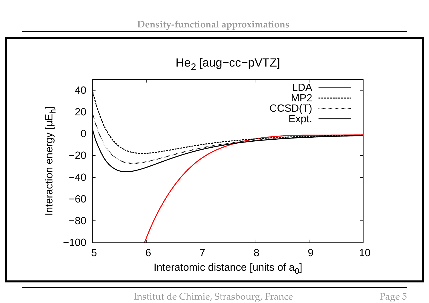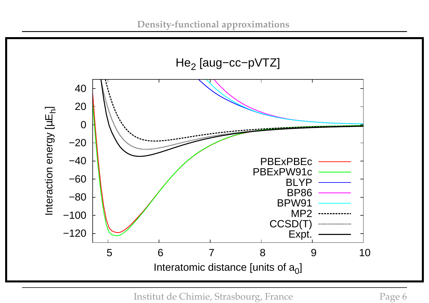